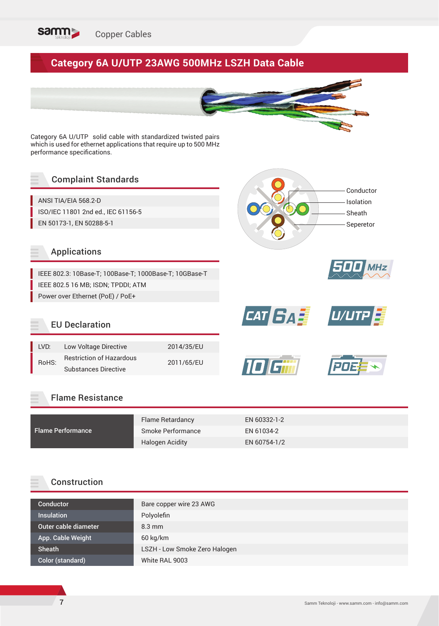

# **Category 6A U/UTP 23AWG 500MHz LSZH Data Cable**



Category 6A U/UTP solid cable with standardized twisted pairs which is used for ethernet applications that require up to 500 MHz performance specifications.

## Complaint Standards

ANSI TIA/EIA 568.2-D ISO/IEC 11801 2nd ed., IEC 61156-5 EN 50173-1, EN 50288-5-1

#### Applications

IEEE 802.3: 10Base-T; 100Base-T; 1000Base-T; 10GBase-T IEEE 802.5 16 MB; ISDN; TPDDI; ATM Power over Ethernet (PoE) / PoE+





*CAT 6A U/UTP* 



# EU Declaration

| I VD: | Low Voltage Directive           | 2014/35/EU |  |
|-------|---------------------------------|------------|--|
| RoHS: | <b>Restriction of Hazardous</b> | 2011/65/EU |  |
|       | <b>Substances Directive</b>     |            |  |

#### Flame Resistance

|                          | <b>Flame Retardancy</b> | EN 60332-1-2 |
|--------------------------|-------------------------|--------------|
| <b>Flame Performance</b> | Smoke Performance       | EN 61034-2   |
|                          | Halogen Acidity         | EN 60754-1/2 |

#### Construction

| Bare copper wire 23 AWG       |
|-------------------------------|
| Polyolefin                    |
| $8.3 \text{ mm}$              |
| 60 kg/km                      |
| LSZH - Low Smoke Zero Halogen |
| White RAL 9003                |
|                               |